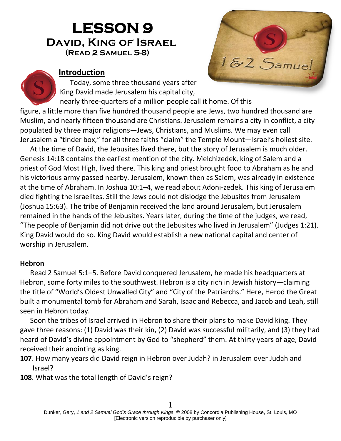# **LESSON 9 David, King of Israel(Read 2 Samuel 5-8)**



#### **Introduction**

Today, some three thousand years after King David made Jerusalem his capital city,

nearly three-quarters of a million people call it home. Of this figure, a little more than five hundred thousand people are Jews, two hundred thousand are Muslim, and nearly fifteen thousand are Christians. Jerusalem remains a city in conflict, a city populated by three major religions—Jews, Christians, and Muslims. We may even call Jerusalem a "tinder box," for all three faiths "claim" the Temple Mount—Israel's holiest site.

At the time of David, the Jebusites lived there, but the story of Jerusalem is much older. Genesis 14:18 contains the earliest mention of the city. Melchizedek, king of Salem and a priest of God Most High, lived there. This king and priest brought food to Abraham as he and his victorious army passed nearby. Jerusalem, known then as Salem, was already in existence at the time of Abraham. In Joshua 10:1–4, we read about Adoni-zedek. This king of Jerusalem died fighting the Israelites. Still the Jews could not dislodge the Jebusites from Jerusalem (Joshua 15:63). The tribe of Benjamin received the land around Jerusalem, but Jerusalem remained in the hands of the Jebusites. Years later, during the time of the judges, we read, "The people of Benjamin did not drive out the Jebusites who lived in Jerusalem" (Judges 1:21). King David would do so. King David would establish a new national capital and center of worship in Jerusalem.

#### **Hebron**

Read 2 Samuel 5:1–5. Before David conquered Jerusalem, he made his headquarters at Hebron, some forty miles to the southwest. Hebron is a city rich in Jewish history—claiming the title of "World's Oldest Unwalled City" and "City of the Patriarchs." Here, Herod the Great built a monumental tomb for Abraham and Sarah, Isaac and Rebecca, and Jacob and Leah, still seen in Hebron today.

Soon the tribes of Israel arrived in Hebron to share their plans to make David king. They gave three reasons: (1) David was their kin, (2) David was successful militarily, and (3) they had heard of David's divine appointment by God to "shepherd" them. At thirty years of age, David received their anointing as king.

- **107**. How many years did David reign in Hebron over Judah? in Jerusalem over Judah and Israel?
- **108**. What was the total length of David's reign?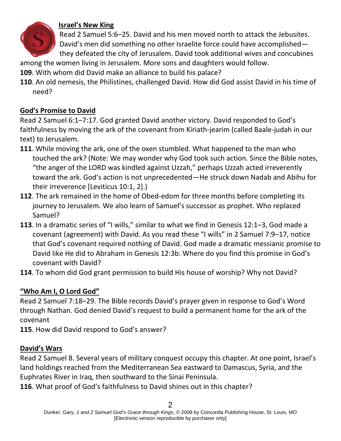

#### **Israel's New King**

Read 2 Samuel 5:6–25. David and his men moved north to attack the Jebusites. David's men did something no other Israelite force could have accomplished they defeated the city of Jerusalem. David took additional wives and concubines

among the women living in Jerusalem. More sons and daughters would follow.

- **109**. With whom did David make an alliance to build his palace?
- **110**. An old nemesis, the Philistines, challenged David. How did God assist David in his time of need?

#### **God's Promise to David**

Read 2 Samuel 6:1–7:17. God granted David another victory. David responded to God's faithfulness by moving the ark of the covenant from Kiriath-jearim (called Baale-judah in our text) to Jerusalem.

- **111**. While moving the ark, one of the oxen stumbled. What happened to the man who touched the ark? (Note: We may wonder why God took such action. Since the Bible notes, "the anger of the LORD was kindled against Uzzah," perhaps Uzzah acted irreverently toward the ark. God's action is not unprecedented—He struck down Nadab and Abihu for their irreverence [Leviticus 10:1, 2].)
- **112**. The ark remained in the home of Obed-edom for three months before completing its journey to Jerusalem. We also learn of Samuel's successor as prophet. Who replaced Samuel?
- **113**. In a dramatic series of "I wills," similar to what we find in Genesis 12:1–3, God made a covenant (agreement) with David. As you read these "I wills" in 2 Samuel 7:9–17, notice that God's covenant required nothing of David. God made a dramatic messianic promise to David like He did to Abraham in Genesis 12:3b. Where do you find this promise in God's covenant with David?
- **114**. To whom did God grant permission to build His house of worship? Why not David?

## **"Who Am I, O Lord God"**

Read 2 Samuel 7:18–29. The Bible records David's prayer given in response to God's Word through Nathan. God denied David's request to build a permanent home for the ark of the covenant

**115**. How did David respond to God's answer?

### **David's Wars**

Read 2 Samuel 8. Several years of military conquest occupy this chapter. At one point, Israel's land holdings reached from the Mediterranean Sea eastward to Damascus, Syria, and the Euphrates River in Iraq, then southward to the Sinai Peninsula.

**116**. What proof of God's faithfulness to David shines out in this chapter?